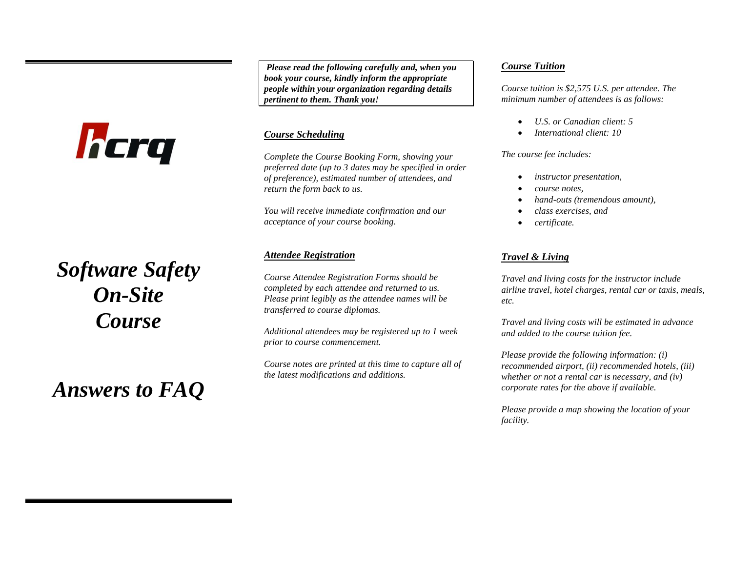# hcrq

# *Software Safety On-Site Course*

*Answers to FAQ*

*Please read the following carefully and, when you book your course, kindly inform the appropriate people within your organization regarding details pertinent to them. Thank you!*

# *Course Scheduling*

*Complete the Course Booking Form, showing your preferred date (up to 3 dates may be specified in order of preference), estimated number of attendees, and return the form back to us.*

*You will receive immediate confirmation and our acceptance of your course booking.*

# *Attendee Registration*

*Course Attendee Registration Forms should be completed by each attendee and returned to us. Please print legibly as the attendee names will be transferred to course diplomas.*

*Additional attendees may be registered up to 1 week prior to course commencement.*

*Course notes are printed at this time to capture all of the latest modifications and additions.*

## *Course Tuition*

*Course tuition is \$2,575 U.S. per attendee. The minimum number of attendees is as follows:*

- *U.S. or Canadian client: 5*
- *International client: 10*

#### *The course fee includes:*

- *instructor presentation,*
- *course notes,*
- *hand-outs (tremendous amount),*
- *class exercises, and*
- *certificate.*

# *Travel & Living*

*Travel and living costs for the instructor include airline travel, hotel charges, rental car or taxis, meals, etc.*

*Travel and living costs will be estimated in advance and added to the course tuition fee.*

*Please provide the following information: (i) recommended airport, (ii) recommended hotels, (iii) whether or not a rental car is necessary, and (iv) corporate rates for the above if available.* 

*Please provide a map showing the location of your facility.*